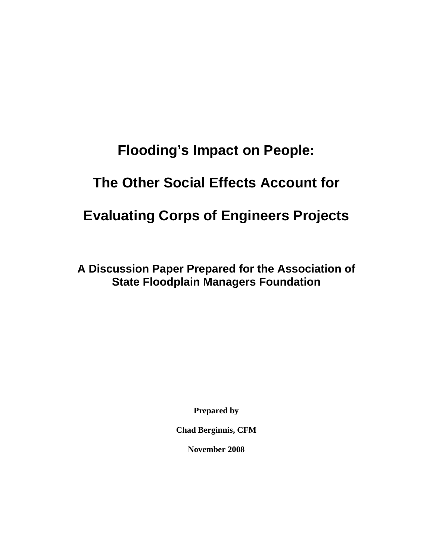# **Flooding's Impact on People: The Other Social Effects Account for Evaluating Corps of Engineers Projects**

**A Discussion Paper Prepared for the Association of State Floodplain Managers Foundation** 

**Prepared by** 

**Chad Berginnis, CFM** 

**November 2008**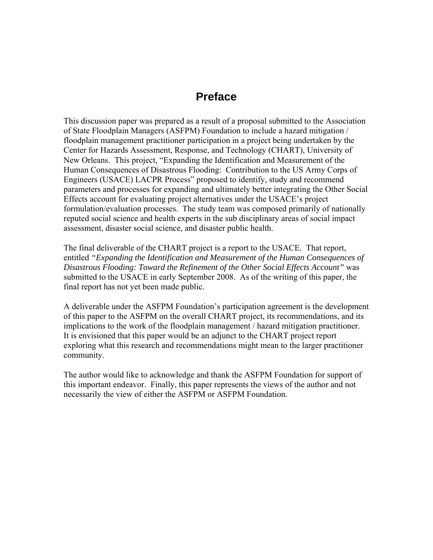# **Preface**

This discussion paper was prepared as a result of a proposal submitted to the Association of State Floodplain Managers (ASFPM) Foundation to include a hazard mitigation / floodplain management practitioner participation in a project being undertaken by the Center for Hazards Assessment, Response, and Technology (CHART), University of New Orleans. This project, "Expanding the Identification and Measurement of the Human Consequences of Disastrous Flooding: Contribution to the US Army Corps of Engineers (USACE) LACPR Process" proposed to identify, study and recommend parameters and processes for expanding and ultimately better integrating the Other Social Effects account for evaluating project alternatives under the USACE's project formulation/evaluation processes. The study team was composed primarily of nationally reputed social science and health experts in the sub disciplinary areas of social impact assessment, disaster social science, and disaster public health.

The final deliverable of the CHART project is a report to the USACE. That report, entitled *"Expanding the Identification and Measurement of the Human Consequences of Disastrous Flooding: Toward the Refinement of the Other Social Effects Account"* was submitted to the USACE in early September 2008. As of the writing of this paper, the final report has not yet been made public.

A deliverable under the ASFPM Foundation's participation agreement is the development of this paper to the ASFPM on the overall CHART project, its recommendations, and its implications to the work of the floodplain management / hazard mitigation practitioner. It is envisioned that this paper would be an adjunct to the CHART project report exploring what this research and recommendations might mean to the larger practitioner community.

The author would like to acknowledge and thank the ASFPM Foundation for support of this important endeavor. Finally, this paper represents the views of the author and not necessarily the view of either the ASFPM or ASFPM Foundation.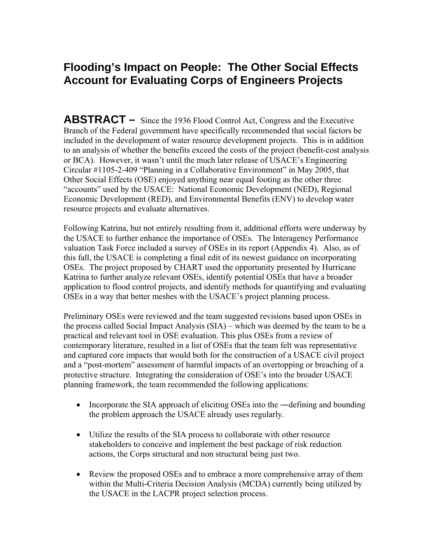# **Flooding's Impact on People: The Other Social Effects Account for Evaluating Corps of Engineers Projects**

**ABSTRACT –** Since the 1936 Flood Control Act, Congress and the Executive Branch of the Federal government have specifically recommended that social factors be included in the development of water resource development projects. This is in addition to an analysis of whether the benefits exceed the costs of the project (benefit-cost analysis or BCA). However, it wasn't until the much later release of USACE's Engineering Circular #1105-2-409 "Planning in a Collaborative Environment" in May 2005, that Other Social Effects (OSE) enjoyed anything near equal footing as the other three "accounts" used by the USACE: National Economic Development (NED), Regional Economic Development (RED), and Environmental Benefits (ENV) to develop water resource projects and evaluate alternatives.

Following Katrina, but not entirely resulting from it, additional efforts were underway by the USACE to further enhance the importance of OSEs. The Interagency Performance valuation Task Force included a survey of OSEs in its report (Appendix 4). Also, as of this fall, the USACE is completing a final edit of its newest guidance on incorporating OSEs. The project proposed by CHART used the opportunity presented by Hurricane Katrina to further analyze relevant OSEs, identify potential OSEs that have a broader application to flood control projects, and identify methods for quantifying and evaluating OSEs in a way that better meshes with the USACE's project planning process.

Preliminary OSEs were reviewed and the team suggested revisions based upon OSEs in the process called Social Impact Analysis (SIA) – which was deemed by the team to be a practical and relevant tool in OSE evaluation. This plus OSEs from a review of contemporary literature, resulted in a list of OSEs that the team felt was representative and captured core impacts that would both for the construction of a USACE civil project and a "post-mortem" assessment of harmful impacts of an overtopping or breaching of a protective structure. Integrating the consideration of OSE's into the broader USACE planning framework, the team recommended the following applications:

- Incorporate the SIA approach of eliciting OSEs into the —defining and bounding the problem approach the USACE already uses regularly.
- Utilize the results of the SIA process to collaborate with other resource stakeholders to conceive and implement the best package of risk reduction actions, the Corps structural and non structural being just two.
- Review the proposed OSEs and to embrace a more comprehensive array of them within the Multi-Criteria Decision Analysis (MCDA) currently being utilized by the USACE in the LACPR project selection process.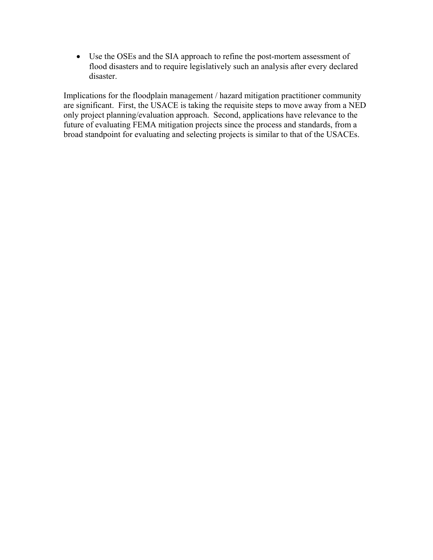• Use the OSEs and the SIA approach to refine the post-mortem assessment of flood disasters and to require legislatively such an analysis after every declared disaster.

Implications for the floodplain management / hazard mitigation practitioner community are significant. First, the USACE is taking the requisite steps to move away from a NED only project planning/evaluation approach. Second, applications have relevance to the future of evaluating FEMA mitigation projects since the process and standards, from a broad standpoint for evaluating and selecting projects is similar to that of the USACEs.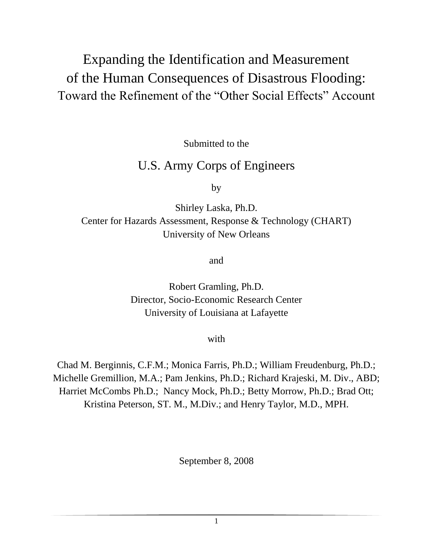# Expanding the Identification and Measurement of the Human Consequences of Disastrous Flooding: Toward the Refinement of the "Other Social Effects" Account

Submitted to the

# U.S. Army Corps of Engineers

by

Shirley Laska, Ph.D. Center for Hazards Assessment, Response & Technology (CHART) University of New Orleans

and

Robert Gramling, Ph.D. Director, Socio-Economic Research Center University of Louisiana at Lafayette

with

Chad M. Berginnis, C.F.M.; Monica Farris, Ph.D.; William Freudenburg, Ph.D.; Michelle Gremillion, M.A.; Pam Jenkins, Ph.D.; Richard Krajeski, M. Div., ABD; Harriet McCombs Ph.D.; Nancy Mock, Ph.D.; Betty Morrow, Ph.D.; Brad Ott; Kristina Peterson, ST. M., M.Div.; and Henry Taylor, M.D., MPH.

September 8, 2008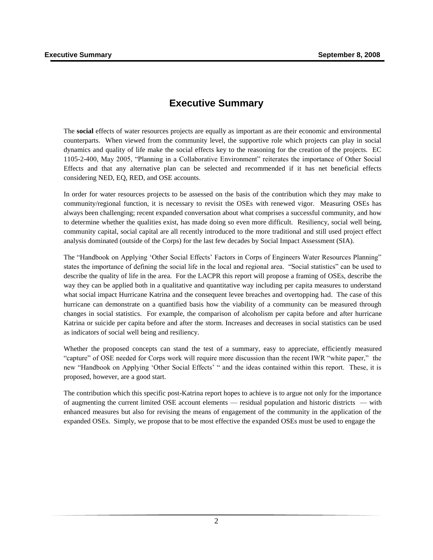### **Executive Summary**

The **social** effects of water resources projects are equally as important as are their economic and environmental counterparts. When viewed from the community level, the supportive role which projects can play in social dynamics and quality of life make the social effects key to the reasoning for the creation of the projects. EC 1105-2-400, May 2005, "Planning in a Collaborative Environment" reiterates the importance of Other Social Effects and that any alternative plan can be selected and recommended if it has net beneficial effects considering NED, EQ, RED, and OSE accounts.

In order for water resources projects to be assessed on the basis of the contribution which they may make to community/regional function, it is necessary to revisit the OSEs with renewed vigor. Measuring OSEs has always been challenging; recent expanded conversation about what comprises a successful community, and how to determine whether the qualities exist, has made doing so even more difficult. Resiliency, social well being, community capital, social capital are all recently introduced to the more traditional and still used project effect analysis dominated (outside of the Corps) for the last few decades by Social Impact Assessment (SIA).

The "Handbook on Applying 'Other Social Effects' Factors in Corps of Engineers Water Resources Planning" states the importance of defining the social life in the local and regional area. "Social statistics" can be used to describe the quality of life in the area. For the LACPR this report will propose a framing of OSEs, describe the way they can be applied both in a qualitative and quantitative way including per capita measures to understand what social impact Hurricane Katrina and the consequent levee breaches and overtopping had. The case of this hurricane can demonstrate on a quantified basis how the viability of a community can be measured through changes in social statistics. For example, the comparison of alcoholism per capita before and after hurricane Katrina or suicide per capita before and after the storm. Increases and decreases in social statistics can be used as indicators of social well being and resiliency.

Whether the proposed concepts can stand the test of a summary, easy to appreciate, efficiently measured "capture" of OSE needed for Corps work will require more discussion than the recent IWR "white paper," the new "Handbook on Applying 'Other Social Effects' " and the ideas contained within this report. These, it is proposed, however, are a good start.

The contribution which this specific post-Katrina report hopes to achieve is to argue not only for the importance of augmenting the current limited OSE account elements — residual population and historic districts — with enhanced measures but also for revising the means of engagement of the community in the application of the expanded OSEs. Simply, we propose that to be most effective the expanded OSEs must be used to engage the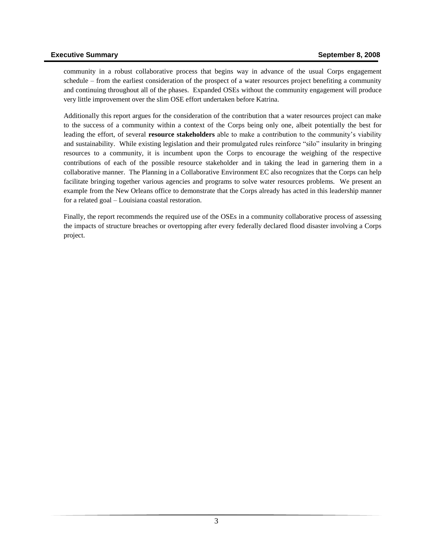community in a robust collaborative process that begins way in advance of the usual Corps engagement schedule – from the earliest consideration of the prospect of a water resources project benefiting a community and continuing throughout all of the phases. Expanded OSEs without the community engagement will produce very little improvement over the slim OSE effort undertaken before Katrina.

Additionally this report argues for the consideration of the contribution that a water resources project can make to the success of a community within a context of the Corps being only one, albeit potentially the best for leading the effort, of several **resource stakeholders** able to make a contribution to the community's viability and sustainability. While existing legislation and their promulgated rules reinforce "silo" insularity in bringing resources to a community, it is incumbent upon the Corps to encourage the weighing of the respective contributions of each of the possible resource stakeholder and in taking the lead in garnering them in a collaborative manner. The Planning in a Collaborative Environment EC also recognizes that the Corps can help facilitate bringing together various agencies and programs to solve water resources problems. We present an example from the New Orleans office to demonstrate that the Corps already has acted in this leadership manner for a related goal – Louisiana coastal restoration.

Finally, the report recommends the required use of the OSEs in a community collaborative process of assessing the impacts of structure breaches or overtopping after every federally declared flood disaster involving a Corps project.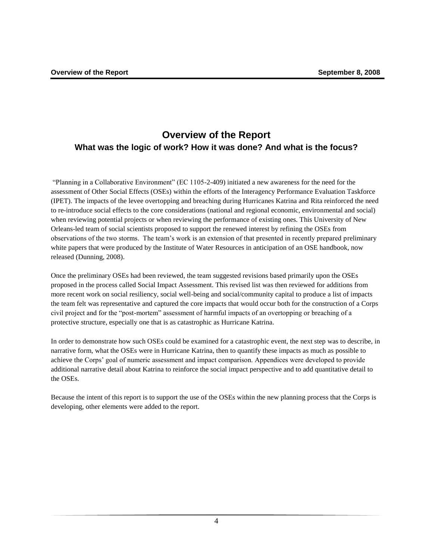## **Overview of the Report What was the logic of work? How it was done? And what is the focus?**

"Planning in a Collaborative Environment" (EC 1105-2-409) initiated a new awareness for the need for the assessment of Other Social Effects (OSEs) within the efforts of the Interagency Performance Evaluation Taskforce (IPET). The impacts of the levee overtopping and breaching during Hurricanes Katrina and Rita reinforced the need to re-introduce social effects to the core considerations (national and regional economic, environmental and social) when reviewing potential projects or when reviewing the performance of existing ones. This University of New Orleans-led team of social scientists proposed to support the renewed interest by refining the OSEs from observations of the two storms. The team's work is an extension of that presented in recently prepared preliminary white papers that were produced by the Institute of Water Resources in anticipation of an OSE handbook, now released (Dunning, 2008).

Once the preliminary OSEs had been reviewed, the team suggested revisions based primarily upon the OSEs proposed in the process called Social Impact Assessment. This revised list was then reviewed for additions from more recent work on social resiliency, social well-being and social/community capital to produce a list of impacts the team felt was representative and captured the core impacts that would occur both for the construction of a Corps civil project and for the "post-mortem" assessment of harmful impacts of an overtopping or breaching of a protective structure, especially one that is as catastrophic as Hurricane Katrina.

In order to demonstrate how such OSEs could be examined for a catastrophic event, the next step was to describe, in narrative form, what the OSEs were in Hurricane Katrina, then to quantify these impacts as much as possible to achieve the Corps' goal of numeric assessment and impact comparison. Appendices were developed to provide additional narrative detail about Katrina to reinforce the social impact perspective and to add quantitative detail to the OSEs.

Because the intent of this report is to support the use of the OSEs within the new planning process that the Corps is developing, other elements were added to the report.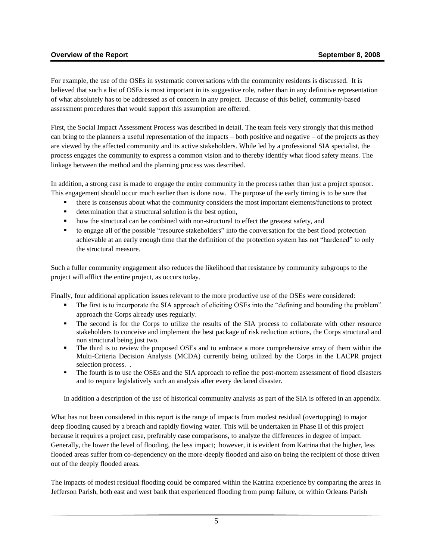#### **Overview of the Report September 8, 2008**

For example, the use of the OSEs in systematic conversations with the community residents is discussed. It is believed that such a list of OSEs is most important in its suggestive role, rather than in any definitive representation of what absolutely has to be addressed as of concern in any project. Because of this belief, community-based assessment procedures that would support this assumption are offered.

First, the Social Impact Assessment Process was described in detail. The team feels very strongly that this method can bring to the planners a useful representation of the impacts – both positive and negative – of the projects as they are viewed by the affected community and its active stakeholders. While led by a professional SIA specialist, the process engages the community to express a common vision and to thereby identify what flood safety means. The linkage between the method and the planning process was described.

In addition, a strong case is made to engage the entire community in the process rather than just a project sponsor. This engagement should occur much earlier than is done now. The purpose of the early timing is to be sure that

- there is consensus about what the community considers the most important elements/functions to protect
- determination that a structural solution is the best option,
- how the structural can be combined with non-structural to effect the greatest safety, and
- to engage all of the possible "resource stakeholders" into the conversation for the best flood protection achievable at an early enough time that the definition of the protection system has not "hardened" to only the structural measure.

Such a fuller community engagement also reduces the likelihood that resistance by community subgroups to the project will afflict the entire project, as occurs today.

Finally, four additional application issues relevant to the more productive use of the OSEs were considered:

- The first is to incorporate the SIA approach of eliciting OSEs into the "defining and bounding the problem" approach the Corps already uses regularly.
- The second is for the Corps to utilize the results of the SIA process to collaborate with other resource stakeholders to conceive and implement the best package of risk reduction actions, the Corps structural and non structural being just two.
- The third is to review the proposed OSEs and to embrace a more comprehensive array of them within the Multi-Criteria Decision Analysis (MCDA) currently being utilized by the Corps in the LACPR project selection process. .
- The fourth is to use the OSEs and the SIA approach to refine the post-mortem assessment of flood disasters and to require legislatively such an analysis after every declared disaster.

In addition a description of the use of historical community analysis as part of the SIA is offered in an appendix.

What has not been considered in this report is the range of impacts from modest residual (overtopping) to major deep flooding caused by a breach and rapidly flowing water. This will be undertaken in Phase II of this project because it requires a project case, preferably case comparisons, to analyze the differences in degree of impact. Generally, the lower the level of flooding, the less impact; however, it is evident from Katrina that the higher, less flooded areas suffer from co-dependency on the more-deeply flooded and also on being the recipient of those driven out of the deeply flooded areas.

The impacts of modest residual flooding could be compared within the Katrina experience by comparing the areas in Jefferson Parish, both east and west bank that experienced flooding from pump failure, or within Orleans Parish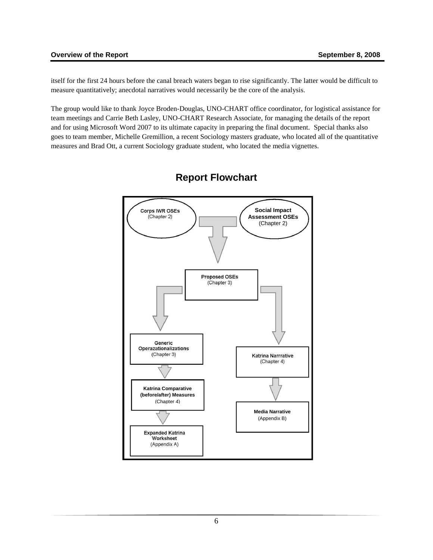itself for the first 24 hours before the canal breach waters began to rise significantly. The latter would be difficult to measure quantitatively; anecdotal narratives would necessarily be the core of the analysis.

The group would like to thank Joyce Broden-Douglas, UNO-CHART office coordinator, for logistical assistance for team meetings and Carrie Beth Lasley, UNO-CHART Research Associate, for managing the details of the report and for using Microsoft Word 2007 to its ultimate capacity in preparing the final document. Special thanks also goes to team member, Michelle Gremillion, a recent Sociology masters graduate, who located all of the quantitative measures and Brad Ott, a current Sociology graduate student, who located the media vignettes.



## **Report Flowchart**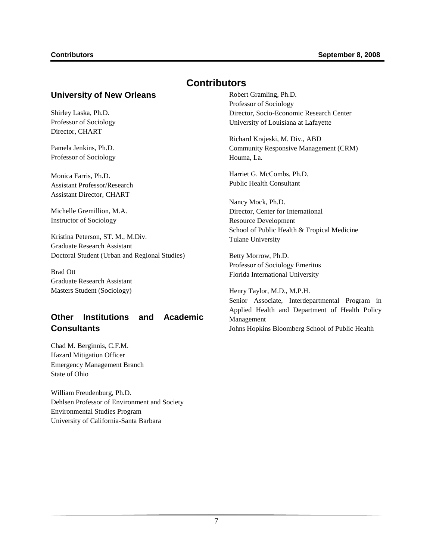## **University of New Orleans**

Shirley Laska, Ph.D. Professor of Sociology Director, CHART

Pamela Jenkins, Ph.D. Professor of Sociology

Monica Farris, Ph.D. Assistant Professor/Research Assistant Director, CHART

Michelle Gremillion, M.A. Instructor of Sociology

Kristina Peterson, ST. M., M.Div. Graduate Research Assistant Doctoral Student (Urban and Regional Studies)

Brad Ott Graduate Research Assistant Masters Student (Sociology)

## **Other Institutions and Academic Consultants**

Chad M. Berginnis, C.F.M. Hazard Mitigation Officer Emergency Management Branch State of Ohio

William Freudenburg, Ph.D. Dehlsen Professor of Environment and Society Environmental Studies Program University of California-Santa Barbara

## **Contributors**

Robert Gramling, Ph.D. Professor of Sociology Director, Socio-Economic Research Center University of Louisiana at Lafayette

Richard Krajeski, M. Div., ABD Community Responsive Management (CRM) Houma, La.

Harriet G. McCombs, Ph.D. Public Health Consultant

Nancy Mock, Ph.D. Director, Center for International Resource Development School of Public Health & Tropical Medicine Tulane University

Betty Morrow, Ph.D. Professor of Sociology Emeritus Florida International University

Henry Taylor, M.D., M.P.H. Senior Associate, Interdepartmental Program in Applied Health and Department of Health Policy Management Johns Hopkins Bloomberg School of Public Health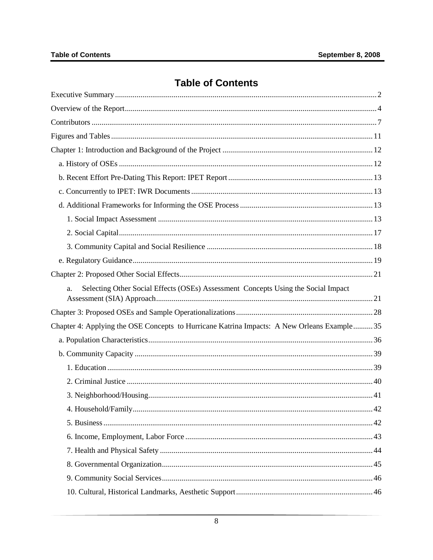# **Table of Contents**

| Selecting Other Social Effects (OSEs) Assessment Concepts Using the Social Impact<br>a.    |
|--------------------------------------------------------------------------------------------|
|                                                                                            |
|                                                                                            |
| Chapter 4: Applying the OSE Concepts to Hurricane Katrina Impacts: A New Orleans Example35 |
|                                                                                            |
|                                                                                            |
|                                                                                            |
|                                                                                            |
|                                                                                            |
|                                                                                            |
|                                                                                            |
|                                                                                            |
|                                                                                            |
|                                                                                            |
|                                                                                            |
|                                                                                            |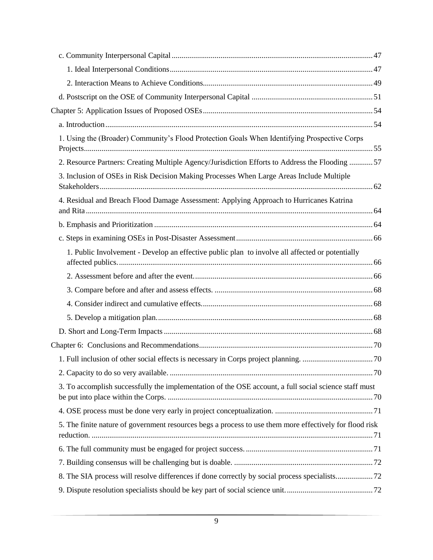| 1. Using the (Broader) Community's Flood Protection Goals When Identifying Prospective Corps            |  |
|---------------------------------------------------------------------------------------------------------|--|
| 2. Resource Partners: Creating Multiple Agency/Jurisdiction Efforts to Address the Flooding 57          |  |
| 3. Inclusion of OSEs in Risk Decision Making Processes When Large Areas Include Multiple                |  |
| 4. Residual and Breach Flood Damage Assessment: Applying Approach to Hurricanes Katrina                 |  |
|                                                                                                         |  |
|                                                                                                         |  |
| 1. Public Involvement - Develop an effective public plan to involve all affected or potentially         |  |
|                                                                                                         |  |
|                                                                                                         |  |
|                                                                                                         |  |
|                                                                                                         |  |
|                                                                                                         |  |
|                                                                                                         |  |
|                                                                                                         |  |
|                                                                                                         |  |
| 3. To accomplish successfully the implementation of the OSE account, a full social science staff must   |  |
|                                                                                                         |  |
| 5. The finite nature of government resources begs a process to use them more effectively for flood risk |  |
|                                                                                                         |  |
|                                                                                                         |  |
|                                                                                                         |  |
|                                                                                                         |  |
|                                                                                                         |  |